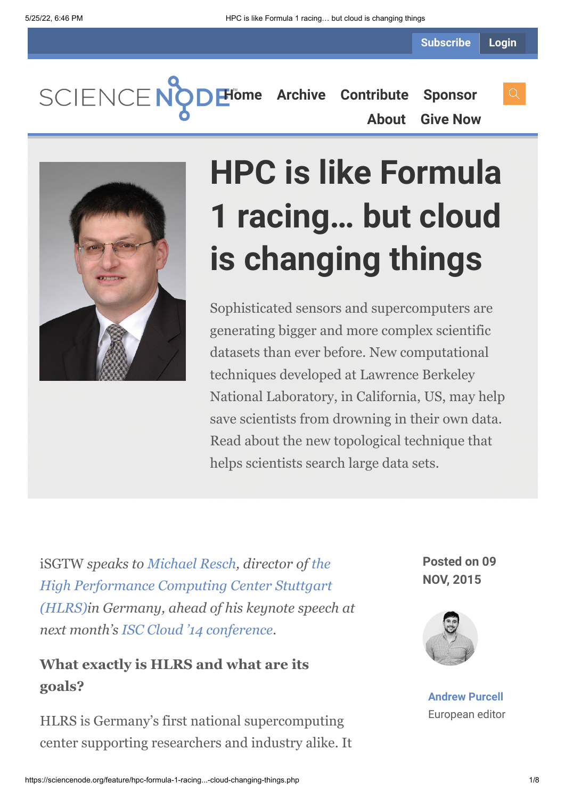SCIENCENO **[Home](https://sciencenode.org/) [Archive](https://sciencenode.org/archive/index.php) [Contribute](https://sciencenode.org/contribute/index.php) [Sponsor](https://sciencenode.org/sponsor/index.php) [About](https://sciencenode.org/about/index.php) [Give Now](https://sciencenode.org/donate/index.php)**



# **HPC is like Formula 1 racing… but cloud is changing things**

Sophisticated sensors and supercomputers are generating bigger and more complex scientific datasets than ever before. New computational techniques developed at Lawrence Berkeley National Laboratory, in California, US, may help save scientists from drowning in their own data. Read about the new topological technique that helps scientists search large data sets.

iSGTW *speaks to [Michael Resch,](http://www.isc-events.com/cloud14/michael-resch.html) director of the High Performance Computing Center Stuttgart [\(HLRS\)in Germany, ahead of his keynote speech](http://www.hlrs.de/) at next month's [ISC Cloud '14 conference.](http://www.isc-events.com/cloud14/)*

#### **What exactly is HLRS and what are its goals?**

HLRS is Germany's first national supercomputing center supporting researchers and industry alike. It **Posted on 09 NOV, 2015**



**[Andrew Purcell](https://sciencenode.org/author/andrew-purcell.php)** European editor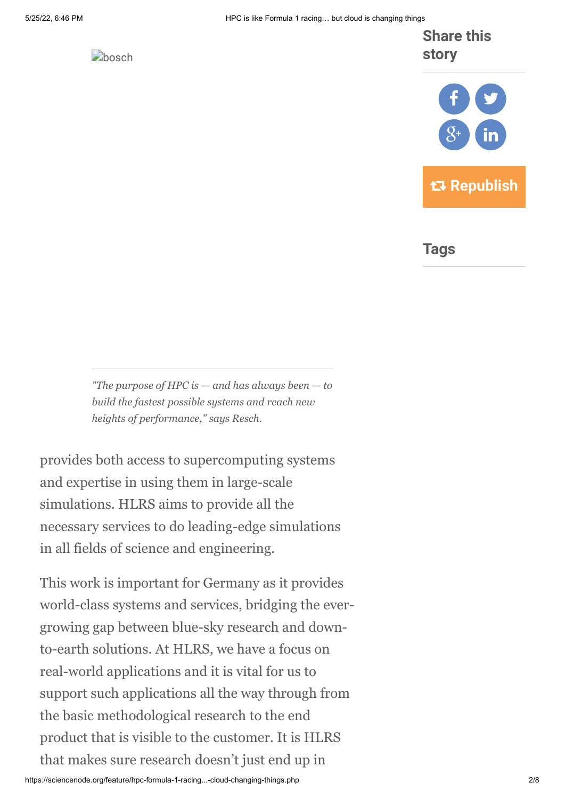

#### **Share this story**



**Tags**

*"The purpose of HPC is — and has always been — to build the fastest possible systems and reach new heights of performance," says Resch.*

provides both access to supercomputing systems and expertise in using them in large-scale simulations. HLRS aims to provide all the necessary services to do leading-edge simulations in all fields of science and engineering.

This work is important for Germany as it provides world-class systems and services, bridging the evergrowing gap between blue-sky research and downto-earth solutions. At HLRS, we have a focus on real-world applications and it is vital for us to support such applications all the way through from the basic methodological research to the end product that is visible to the customer. It is HLRS that makes sure research doesn't just end up in

https://sciencenode.org/feature/hpc-formula-1-racing...-cloud-changing-things.php 2/8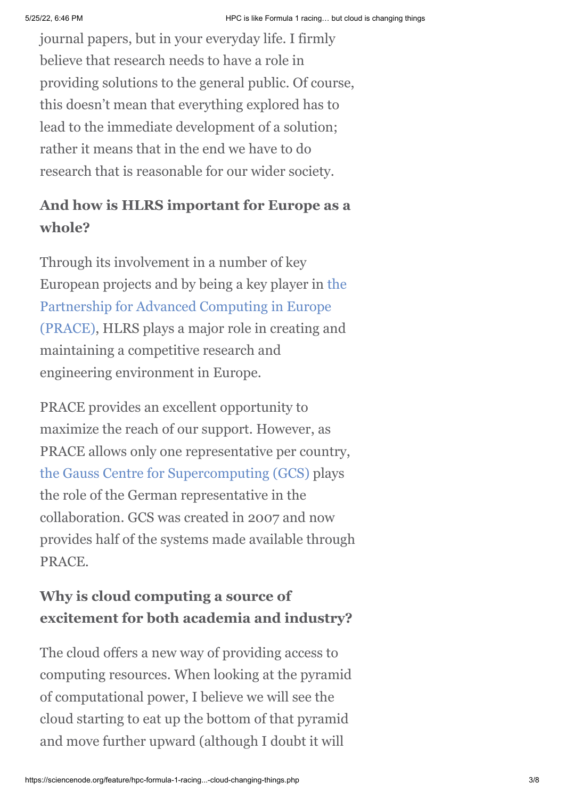journal papers, but in your everyday life. I firmly believe that research needs to have a role in providing solutions to the general public. Of course, this doesn't mean that everything explored has to lead to the immediate development of a solution; rather it means that in the end we have to do research that is reasonable for our wider society.

## **And how is HLRS important for Europe as a whole?**

Through its involvement in a number of key [European projects and by being a key player in the](http://www.prace-ri.eu/) Partnership for Advanced Computing in Europe (PRACE), HLRS plays a major role in creating and maintaining a competitive research and engineering environment in Europe.

PRACE provides an excellent opportunity to maximize the reach of our support. However, as PRACE allows only one representative per country, [the Gauss Centre for Supercomputing \(GCS\)](http://www.gauss-centre.eu/gauss-centre/EN/Home/home_node.html) plays the role of the German representative in the collaboration. GCS was created in 2007 and now provides half of the systems made available through PRACE.

### **Why is cloud computing a source of excitement for both academia and industry?**

The cloud offers a new way of providing access to computing resources. When looking at the pyramid of computational power, I believe we will see the cloud starting to eat up the bottom of that pyramid and move further upward (although I doubt it will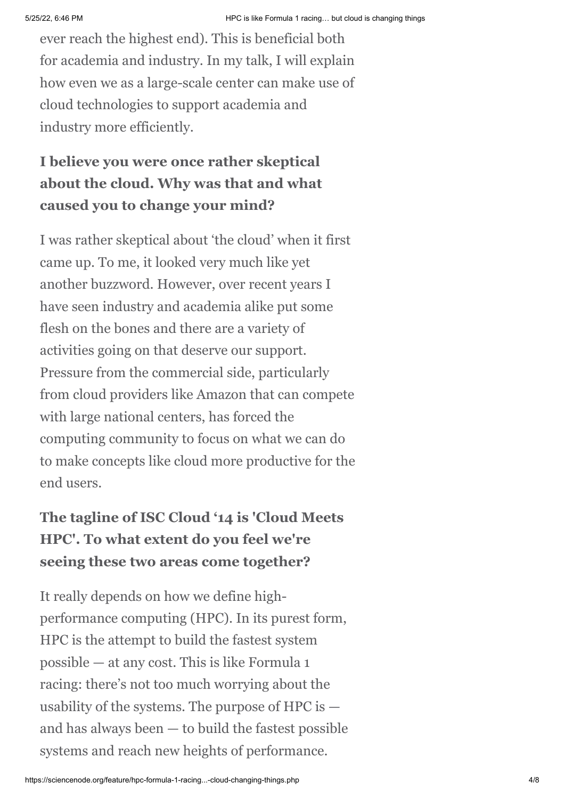ever reach the highest end). This is beneficial both for academia and industry. In my talk, I will explain how even we as a large-scale center can make use of cloud technologies to support academia and industry more efficiently.

## **I believe you were once rather skeptical about the cloud. Why was that and what caused you to change your mind?**

I was rather skeptical about 'the cloud' when it first came up. To me, it looked very much like yet another buzzword. However, over recent years I have seen industry and academia alike put some flesh on the bones and there are a variety of activities going on that deserve our support. Pressure from the commercial side, particularly from cloud providers like Amazon that can compete with large national centers, has forced the computing community to focus on what we can do to make concepts like cloud more productive for the end users.

## **The tagline of ISC Cloud '14 is 'Cloud Meets HPC'. To what extent do you feel we're seeing these two areas come together?**

It really depends on how we define highperformance computing (HPC). In its purest form, HPC is the attempt to build the fastest system possible — at any cost. This is like Formula 1 racing: there's not too much worrying about the usability of the systems. The purpose of HPC is  $$ and has always been — to build the fastest possible systems and reach new heights of performance.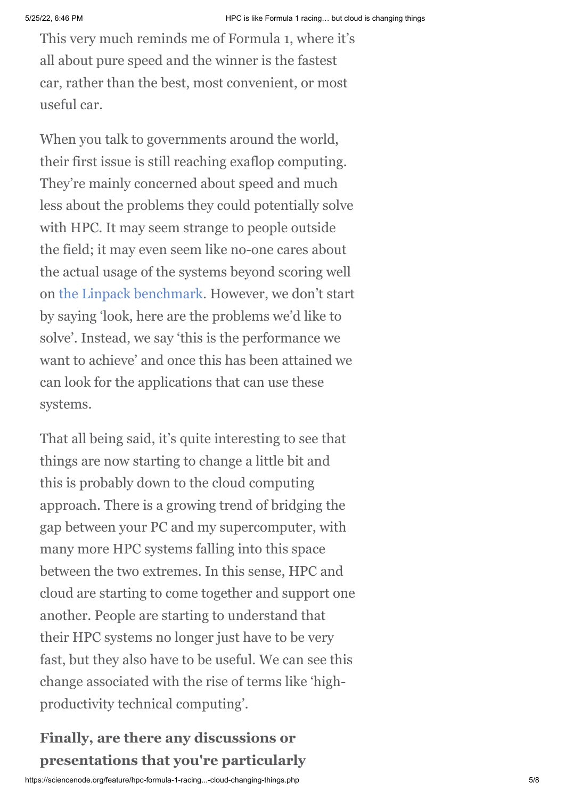This very much reminds me of Formula 1, where it's all about pure speed and the winner is the fastest car, rather than the best, most convenient, or most useful car.

When you talk to governments around the world, their first issue is still reaching exaflop computing. They're mainly concerned about speed and much less about the problems they could potentially solve with HPC. It may seem strange to people outside the field; it may even seem like no-one cares about the actual usage of the systems beyond scoring well on [the Linpack benchmark.](http://www.top500.org/project/linpack/) However, we don't start by saying 'look, here are the problems we'd like to solve'. Instead, we say 'this is the performance we want to achieve' and once this has been attained we can look for the applications that can use these systems.

That all being said, it's quite interesting to see that things are now starting to change a little bit and this is probably down to the cloud computing approach. There is a growing trend of bridging the gap between your PC and my supercomputer, with many more HPC systems falling into this space between the two extremes. In this sense, HPC and cloud are starting to come together and support one another. People are starting to understand that their HPC systems no longer just have to be very fast, but they also have to be useful. We can see this change associated with the rise of terms like 'highproductivity technical computing'.

### **Finally, are there any discussions or presentations that you're particularly**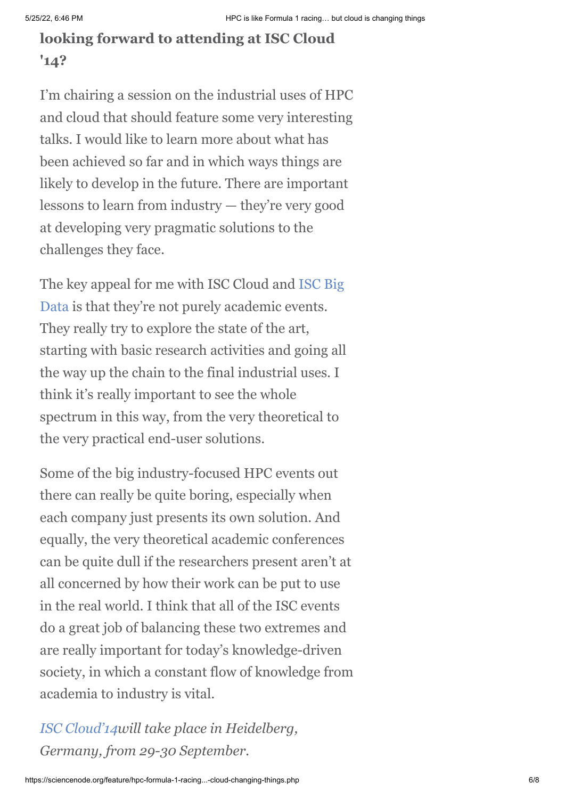## **looking forward to attending at ISC Cloud '14?**

I'm chairing a session on the industrial uses of HPC and cloud that should feature some very interesting talks. I would like to learn more about what has been achieved so far and in which ways things are likely to develop in the future. There are important lessons to learn from industry — they're very good at developing very pragmatic solutions to the challenges they face.

[The key appeal for me with ISC Cloud and ISC Big](http://www.isc-events.com/bigdata14/) Data is that they're not purely academic events. They really try to explore the state of the art, starting with basic research activities and going all the way up the chain to the final industrial uses. I think it's really important to see the whole spectrum in this way, from the very theoretical to the very practical end-user solutions.

Some of the big industry-focused HPC events out there can really be quite boring, especially when each company just presents its own solution. And equally, the very theoretical academic conferences can be quite dull if the researchers present aren't at all concerned by how their work can be put to use in the real world. I think that all of the ISC events do a great job of balancing these two extremes and are really important for today's knowledge-driven society, in which a constant flow of knowledge from academia to industry is vital.

*[ISC Cloud'14](http://www.isc-events.com/cloud14/)will take place in Heidelberg, Germany, from 29-30 September.*